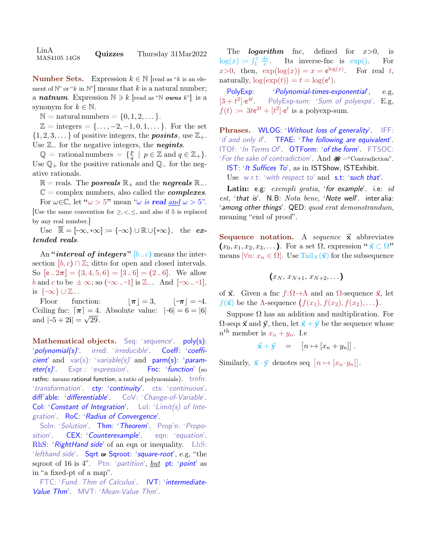LinA  $\mu_{\rm MAS4105\ 14G8}$  Quizzes Thursday 31Mar2022

**Number Sets.** Expression  $k \in \mathbb{N}$  [read as "k is an element of  $\mathbb{N}$ " or "k in  $\mathbb{N}$ " means that k is a natural number; a **natnum**. Expression  $\mathbb{N} \ni k$  [read as "N *owns* k"] is a synonym for  $k \in \mathbb{N}$ .

 $\mathbb{N} =$  natural numbers  $= \{0, 1, 2, \dots\}.$ 

 $\mathbb{Z} = \text{integers} = {\ldots, -2, -1, 0, 1, \ldots}.$  For the set  $\{1, 2, 3, \ldots\}$  of positive integers, the **posints**, use  $\mathbb{Z}_+$ . Use  $\mathbb{Z}_-$  for the negative integers, the **negints**.

 $\mathbb{Q}$  = rational numbers =  $\{ \frac{p}{q} \}$  $\frac{p}{q} \mid p \in \mathbb{Z}$  and  $q \in \mathbb{Z}_+$ . Use  $\mathbb{Q}_+$  for the positive rationals and  $\mathbb{Q}_-$  for the negative rationals.

 $\mathbb{R} =$  reals. The *posreals*  $\mathbb{R}_+$  and the *negreals*  $\mathbb{R}_-$ .

 $\mathbb{C} =$  complex numbers, also called the *complexes*. For  $\omega \in \mathbb{C}$ , let " $\omega > 5$ " mean " $\omega$  is **real** and  $\omega > 5$ ". [Use the same convention for  $\geq, \leq, \leq$ , and also if 5 is replaced by any real number.]

Use  $\overline{\mathbb{R}} = [-\infty, +\infty] := \{-\infty\} \cup \mathbb{R} \cup \{+\infty\},\$ the  $ex$ tended reals.

An "*interval of integers*" [b. c) means the intersection  $[b, c) \cap \mathbb{Z}$ ; ditto for open and closed intervals. So  $[e \cdot 2\pi] = \{3, 4, 5, 6\} = [3 \cdot 6] = (2 \cdot 6]$ . We allow b and c to be  $\pm \infty$ ; so  $(-\infty -1]$  is  $\mathbb{Z}_-$ . And  $[-\infty -1]$ , is  $\{\infty\} \cup \mathbb{Z}_{-}.$ 

Floor function:  $|\pi| = 3$ ,  $|\pi| = -4$ . Ceiling fnc:  $\lceil \pi \rceil = 4$ . Absolute value:  $|-6| = 6 = |6|$ and  $|-5 + 2i| = \sqrt{29}$ .

Mathematical objects. Seq: 'sequence'. poly(s): 'polynomial(s)'. irred: 'irreducible'. Coeff: 'coefficient' and var(s): 'variable(s)' and parm(s): 'parameter(s)'. Expr.: 'expression'. Fnc: 'function' (so ratfnc: means rational function, a ratio of polynomials). trnfn: 'transformation' cty: 'continuity' cts: 'continuous'. diff'able: 'differentiable'. CoV: 'Change-of-Variable'. Col: 'Constant of Integration'. Lol: 'Limit(s) of Integration'. RoC: 'Radius of Convergence'.

Soln: 'Solution'. Thm: 'Theorem'. Prop'n: 'Proposition'. CEX: 'Counterexample'. eqn: 'equation'. RhS: 'RightHand side' of an eqn or inequality. LhS: 'lefthand side'. Sqrt or Sqroot: 'square-root', e.g, "the sqroot of 16 is 4". Ptn: 'partition', but pt: 'point' as in "a fixed-pt of a map".

FTC: 'Fund. Thm of Calculus'. IVT: 'intermediate-Value Thm'. MVT: 'Mean-Value Thm'.

The *logarithm* fnc, defined for  $x>0$ , is  $\log(x) \coloneqq \int_1^x \frac{\mathrm{d}v}{v}$  $\overline{v}$ Its inverse-fnc is  $\exp()$ . For  $x>0$ , then,  $\exp(\log(x)) = x = e^{\log(x)}$ For real  $t$ , naturally,  $\log(\exp(t)) = t = \log(e^t)$ .

PolyExp: 'Polynomial-times-exponential', e.g,  $[3 + t^2] \cdot e^{4t}$ PolyExp-sum: 'Sum of polyexps'. E.g,  $f(t) := 3t e^{2t} + [t^2] \cdot e^t$  is a polyexp-sum.

Phrases. WLOG: 'Without loss of generality'. IFF: 'if and only if'. TFAE: 'The following are equivalent'. ITOf: 'In Terms Of'. OTForm: 'of the form'. FTSOC: 'For the sake of contradiction'. And  $\mathcal{K}$  = "Contradiction". IST: 'It Suffices To', as in ISTShow, ISTExhibit. Use w.r.t: 'with respect to' and s.t: 'such that'.

Latin: e.g: exempli gratia, 'for example'. i.e: id est, 'that is'.  $N.B: Nota \, \text{bene}$ , 'Note well'. inter alia: 'among other things'. QED: quod erat demonstrandum, meaning "end of proof".

Sequence notation. A sequence  $\vec{x}$  abbreviates  $(x_0, x_1, x_2, x_3, \ldots)$ . For a set  $\Omega$ , expression " $\vec{x} \subset \Omega$ " means  $[\forall n: x_n \in \Omega]$ . Use Tail $_N(\vec{x})$  for the subsequence

$$
(x_N, x_{N+1}, x_{N+2}, \ldots)
$$

of  $\vec{x}$ . Given a fnc  $f:\Omega\to\Lambda$  and an  $\Omega$ -sequence  $\vec{x}$ , let  $f(\vec{x})$  be the  $\Lambda$ -sequence  $(f(x_1), f(x_2), f(x_2), \ldots)$ .

Suppose  $\Omega$  has an addition and multiplication. For  $\Omega$ -seqs  $\vec{x}$  and  $\vec{y}$ , then, let  $\vec{x} + \vec{y}$  be the sequence whose  $n^{\text{th}}$  member is  $x_n + y_n$ . I.e

$$
\vec{x} + \vec{y} = [n \mapsto [x_n + y_n]].
$$

Similarly,  $\vec{x} \cdot \vec{y}$  denotes seq  $[n \mapsto [x_n \cdot y_n]]$ .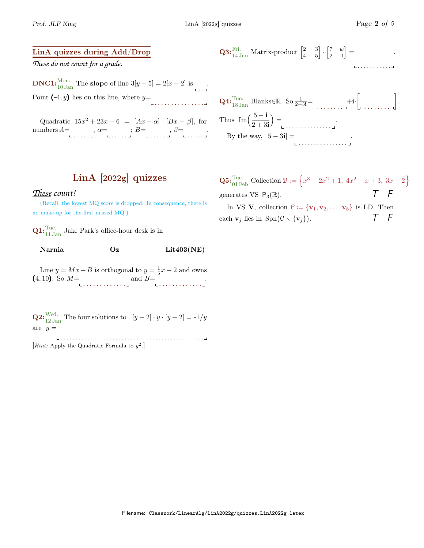## LinA quizzes during Add/Drop

*These do not count for a grade.*

**DNC1:**<sup>Mon.</sup> The **slope** of line  $3[y-5] = 2[x-2]$  is ... Point  $(-4, y)$  lies on this line, where  $y=$ 

Quadratic  $15x^2 + 23x + 6 = [Ax - \alpha] \cdot [Bx - \beta]$ , for numbers  $A = \dots, \alpha = \dots, B = \dots, \beta = \dots \dots$ 

**Q3:** 
$$
\begin{bmatrix} \text{Fri.} \\ 14 \text{ Jan} \end{bmatrix}
$$
 Matrix-product  $\begin{bmatrix} 2 & -3 \\ 4 & 5 \end{bmatrix} \cdot \begin{bmatrix} 7 & w \\ 2 & 1 \end{bmatrix} = \begin{bmatrix} 1 & 0 & 0 \\ 0 & 1 & 1 \end{bmatrix}$ 

**Q4:** 
$$
\begin{aligned}\n\text{Q4:} &\text{True.} \\
\text{18 Janks} \in \mathbb{R}. \text{ So } \frac{1}{2+3i} = \qquad \qquad \text{+i.} \\
\text{Thus } &\text{Im}\left(\frac{5-i}{2+3i}\right) = \qquad \qquad \text{.} \\
\text{By the way, } |5-3i| = \qquad \qquad \text{.} \\
\text{25.} &\text{26.} \\
\text{26.} &\text{27.} \\
\text{27.} &\text{28.} \\
\text{28.} &\text{29.} \\
\text{20.} &\text{20.} \\
\text{21.} &\text{21.} \\
\text{22.} &\text{22.} \\
\text{23.} &\text{23.} \\
\text{24.} &\text{24.} \\
\text{25.} &\text{25.} \\
\text{26.} &\text{27.} \\
\text{27.} &\text{28.} \\
\text{28.} &\text{29.} \\
\text{29.} &\text{20.} \\
\text{20.} &\text{21.} \\
\text{21.} &\text{22.} \\
\text{22.} &\text{23.} \\
\text{24.} &\text{25.} \\
\text{25.} &\text{26.} \\
\text{26.} &\text{27.} \\
\text{27.} &\text{28.} \\
\text{28.} &\text{29.} \\
\text{29.} &\text{20.} \\
\text{20.} &\text{21.} \\
\text{21.} &\text{22.} \\
\text{22.} &\text{23.} \\
\text{24.} &\text{24.} \\
\text{25.} &\text{25.} \\
\text{26.} &\text{26.} \\
\text{27.} &\text{27.} \\
\text{28.} &\text{29.} \\
\text{29.} &\text{20.} \\
\text{20.} &\text{21.} \\
\text{21.} &\text{22.} \\
\text{22.} &\text{23.} \\
\text{24.} &\text{25.} \\
\text{25.}
$$

## LinA [2022g] quizzes

## *These count!*

(Recall, the lowest MQ score is dropped. In consequence, there is no make-up for the first missed MQ.)

 $\mathbf{Q1:}\begin{array}{l} \mathbf{Tue.} \\ \mathbf{11.} \mathbf{Jan} \end{array}$  Jake Park's office-hour desk is in

| Narnia | Oz | Lit403(NE) |
|--------|----|------------|
|--------|----|------------|

Line  $y = Mx + B$  is orthogonal to  $y = \frac{1}{5}x + 2$  and owns (4, 10). So  $M = \text{and } B = \text{...}$ 

**Q2:**  $\frac{\text{Wed.}}{12 \text{ Jan}}$  The four solutions to  $[y-2] \cdot y \cdot [y+2] = -1/y$ are  $y =$ 

. . . . . . . . . . . . . . . . . . . . . . . . . . . . . . . . . . . . . . . . . . . . . . .

*Hint:* Apply the Quadratic Formula to  $y^2$ .

**Q5:** Tue. Collection  $\mathcal{B} := \left\{ x^3 - 2x^2 + 1, 4x^2 - x + 3, 3x - 2 \right\}$ generates VS  $P_3(\mathbb{R})$ .  $\qquad \qquad \mathcal{T} \qquad \mathcal{F}$ 

In VS V, collection  $\mathcal{C} := {\mathbf{v}_1, \mathbf{v}_2, \dots, \mathbf{v}_8}$  is LD. Then each  $\mathbf{v}_j$  lies in  $\text{Spn}(\mathcal{C}\setminus{\{\mathbf{v}_j\}})$ . T F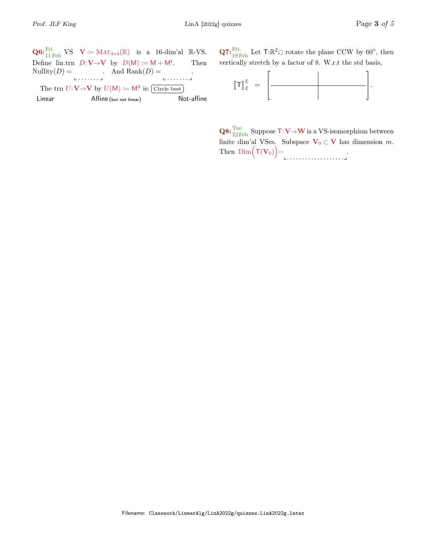$\mathbf{Q6:}^{\text{Fri.}}_{11 \text{ Feb}} \text{VS} \quad \mathbf{V} \coloneqq \text{MAT}_{4\times 4}(\mathbb{R}) \quad \text{is a 16-dim'al } \mathbb{R}\text{-VS}.$ Define lin.trn  $D: V \rightarrow V$  by  $D(M) := M + M^t$ . . Then Nullity $(D) =$ . . . . . . . . And  $\text{Rank}(D) =$ . . . . . . . . The trn  $U: V \rightarrow V$  by  $U(M) := M^2$  is: Circle best

 $\overline{a}$ Not-affine Linear Affine (but not linear)

**Q7:**  ${}_{18}^{Fri.}$  Let T: $\mathbb{R}^2$  rotate the plane CCW by 60 $^{\circ}$ , then vertically stretch by a factor of 8. W.r.t the std basis,



 $\mathbf{Q8:}\frac{\text{True}}{22 \text{ Feb}}$  Suppose  $\textsf{T:V}\mathord{\rightarrow}\textsf{W}$  is a VS-isomorphism between finite dim'al VSes. Subspace  $V_0 \subset V$  has dimension m. Then  $\mathrm{Dim}(\mathsf{T}(\mathbf{V}_0)) =$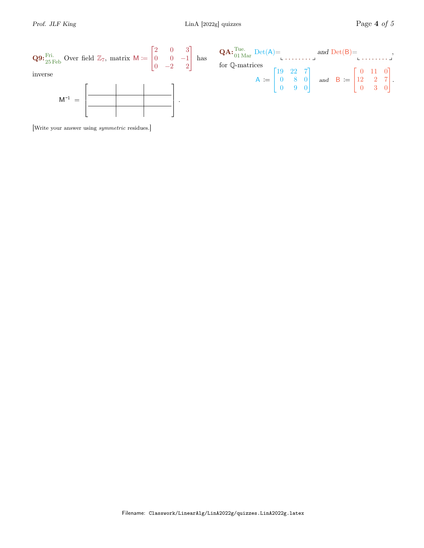

[Write your answer using symmetric residues.]

|                                                                                                                                                                               | $\mathbf{QA:}^{\text{Tue.}}_{01 \text{ Mar}} \text{Det}(A) = \n\begin{bmatrix}\n\mathbf{A:}^{\text{Tue.}} \\ \mathbf{A:}^{\text{Tue.}} \\ \mathbf{A:}^{\text{Tue.}}\n\end{bmatrix}$ |  |  |  |  |  |  |  |
|-------------------------------------------------------------------------------------------------------------------------------------------------------------------------------|-------------------------------------------------------------------------------------------------------------------------------------------------------------------------------------|--|--|--|--|--|--|--|
|                                                                                                                                                                               |                                                                                                                                                                                     |  |  |  |  |  |  |  |
|                                                                                                                                                                               |                                                                                                                                                                                     |  |  |  |  |  |  |  |
|                                                                                                                                                                               |                                                                                                                                                                                     |  |  |  |  |  |  |  |
|                                                                                                                                                                               |                                                                                                                                                                                     |  |  |  |  |  |  |  |
| for Q-matrices<br>$A := \begin{bmatrix} 19 & 22 & 7 \\ 0 & 8 & 0 \\ 0 & 9 & 0 \end{bmatrix}$ and $B := \begin{bmatrix} 0 & 11 & 0 \\ 12 & 2 & 7 \\ 0 & 3 & 0 \end{bmatrix}$ . |                                                                                                                                                                                     |  |  |  |  |  |  |  |
|                                                                                                                                                                               |                                                                                                                                                                                     |  |  |  |  |  |  |  |